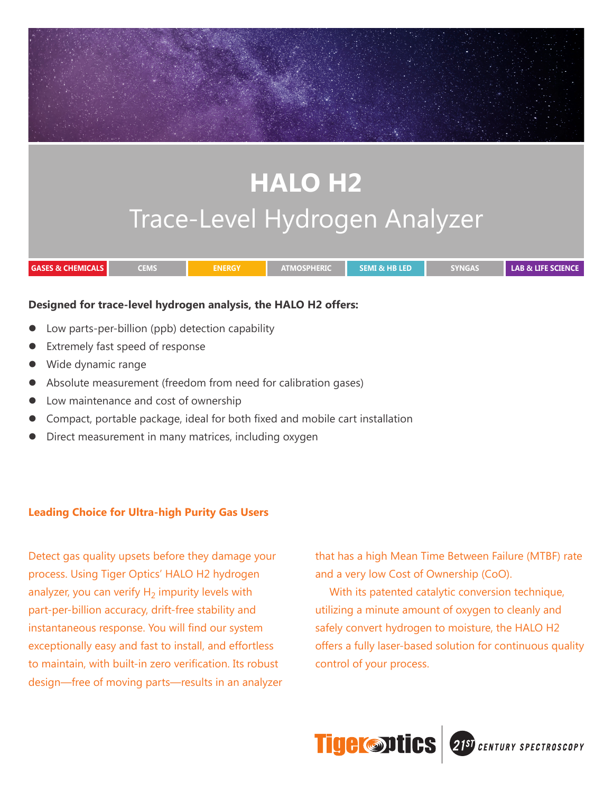# **HALO H2** Trace-Level Hydrogen Analyzer **GASES & CHEMICALS CEMS ENERGY ATMOSPHERIC SEMI & HB LED SYNGAS LAB & LIFE SCIENCE**

## **Designed for trace-level hydrogen analysis, the HALO H2 offers:**

- Low parts-per-billion (ppb) detection capability
- Extremely fast speed of response
- Wide dynamic range
- Absolute measurement (freedom from need for calibration gases)
- Low maintenance and cost of ownership
- Compact, portable package, ideal for both fixed and mobile cart installation
- Direct measurement in many matrices, including oxygen

## **Leading Choice for Ultra-high Purity Gas Users**

Detect gas quality upsets before they damage your process. Using Tiger Optics' HALO H2 hydrogen analyzer, you can verify  $H_2$  impurity levels with part-per-billion accuracy, drift-free stability and instantaneous response. You will find our system exceptionally easy and fast to install, and effortless to maintain, with built-in zero verification. Its robust design—free of moving parts—results in an analyzer that has a high Mean Time Between Failure (MTBF) rate and a very low Cost of Ownership (CoO).

With its patented catalytic conversion technique, utilizing a minute amount of oxygen to cleanly and safely convert hydrogen to moisture, the HALO H2 offers a fully laser-based solution for continuous quality control of your process.